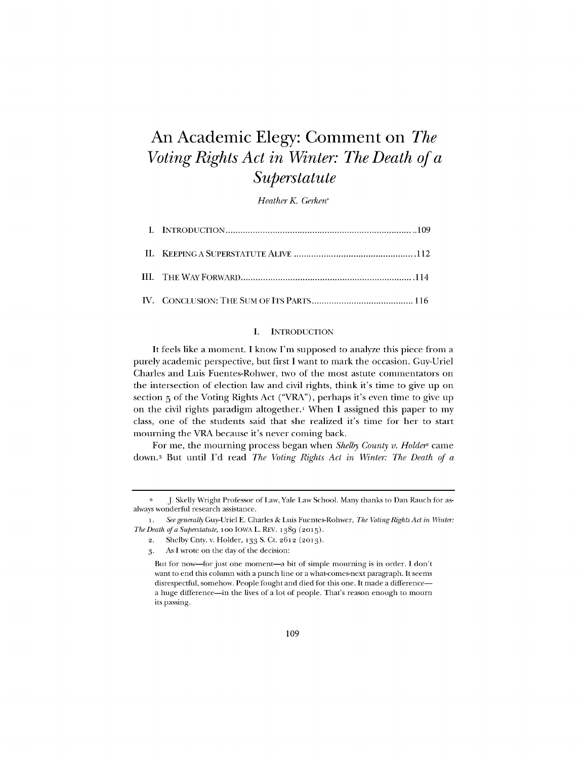# An Academic Elegy: Comment on *The Voting Rights Act in Winter: The Death of a Superstatute*

*Heather K. Gerken\**

## **I. INTRODUCTION**

It feels like a moment. **I** know I'm supposed to analyze this piece from a purely academic perspective, but first **I** want to mark the occasion. Guy-Uriel Charles and Luis Fuentes-Rohwer, two of the most astute commentators on the intersection of election law and civil rights, think it's time to give up on section **5** of the Voting Rights Act ("VRA"), perhaps it's even time to give **up** on the civil rights paradigm altogether.<sup>1</sup> When I assigned this paper to my class, one of the students said that she realized it's time for her to start mourning the VRA because it's never coming back.

For me, the mourning process began when *Shelby County v. Holder*<sup>2</sup> came down.3 But until **I'd** read *The Voting Rights Act in Winter: The Death of a*

**<sup>\*</sup> J.** Skelly Wright Professor of Law, Yale Law School. Many thanks to Dan Rauch for asalways wonderful research assistance.

**<sup>1.</sup>** *See generally Guy-Uriel E. Charles & Luis Fuentes-Rohwer, The Voting Rights Act in Winter: The Death of a Superstatute,* too **IOWA** L. REV. 1389 **(2015).**

**<sup>2.</sup>** Shelby Cnty. v. Holder, **133 S.** Ct. **2612 (2o3).**

**<sup>3.</sup>** As **I** wrote on the day of the decision:

But for now-for just one moment-a bit of simple mourning is in order. **I** don't want to end this column with a punch line or a what-comes-next paragraph. It seems disrespectful, somehow. People fought and died for this one. It made a differencea huge difference-in the lives of a lot of people. That's reason enough to mourn its passing.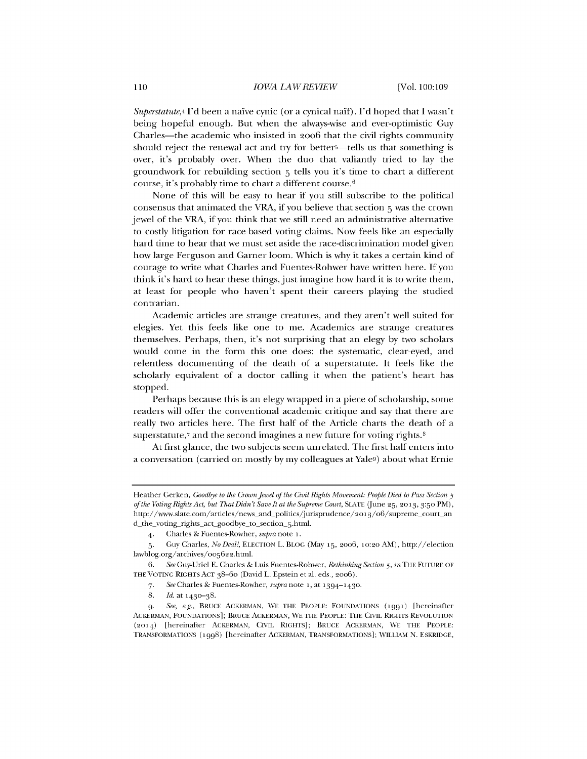*Superstatute,4* **I'd** been a naive cynic (or a cynical naf). **I'd** hoped that **I** wasn't being hopeful enough. But when the always-wise and ever-optimistic **Guy** Charles—the academic who insisted in 2006 that the civil rights community should reject the renewal act and try for better<sup>5</sup>-tells us that something is over, it's probably over. When the duo that valiantly tried to lay the groundwork for rebuilding section **5** tells you it's time to chart a different course, it's probably time to chart a different course.<sup>6</sup>

None of this will be easy to hear if you still subscribe to the political consensus that animated the VRA, if you believe that section **5** was the crown jewel of the VRA, if you think that we still need an administrative alternative to costly litigation for race-based voting claims. Now feels like an especially hard time to hear that we must set aside the race-discrimination model given how large Ferguson and Garner loom. Which is why it takes a certain kind of courage to write what Charles and Fuentes-Rohwer have written here. **If** you think it's hard to hear these things, just imagine how hard it is to write them, at least for people who haven't spent their careers playing the studied contrarian.

Academic articles are strange creatures, and they aren't well suited for elegies. Yet this feels like one to me. Academics are strange creatures themselves. Perhaps, then, it's not surprising that an elegy **by** two scholars would come in the form this one does: the systematic, clear-eyed, and relentless documenting of the death of a superstatute. It feels like the scholarly equivalent of a doctor calling it when the patient's heart has stopped.

Perhaps because this is an elegy wrapped in a piece of scholarship, some readers will offer the conventional academic critique and say that there are really two articles here. The first half of the Article charts the death of a superstatute, $7$  and the second imagines a new future for voting rights. $8$ 

At first glance, the two subjects seem unrelated. The first half enters into a conversation (carried on mostly **by** my colleagues at Yale9) about what Ernie

Heather Gerken, *Goodbye to the Crown Jewel of the Civil Rights Movement: People Died to Pass Section 5 of the VotingRights Act, but That Didn't Save It at the Supreme Court,* **SLATE** (June **25, 2013, 3:50** PM), http://www.slate.com/articles/news\_and\_politics/jurisprudence/2013/06/supreme\_court\_an d\_the\_voting\_rights\_act\_goodbye\_to\_section\_5.html.

<sup>4.</sup> Charles **&** Fuentes-Rowher, *supra* note **i.**

**<sup>5.</sup>** Guy Charles, *No Deal!,* **ELECTION** L. BLOG (May **15, 2006, 10:2o** AM), http://election lawblog.org/archives/oo562 2.html.

**<sup>6.</sup>** *See* Guy-Uriel **E.** Charles **&** Luis Fuentes-Rohwer, *Rethinking Section 5, in* THE **FUTURE** OF **THE VOTING** RIGHTS **ACT** 38-60 (David L. Epstein et al. eds., **2oo6).**

**<sup>7.</sup>** *See* Charles **&** Fuentes-Rowher, supra note **i,** at **1394-1430.**

**<sup>8.</sup>** *Id.* at 143o-38.

**<sup>9.</sup>** *See, e.g.,* BRUCE ACKERMAN, WE THE PEOPLE: **FOUNDATIONS (1991)** [hereinafter ACKERMAN, **FOUNDATIONS];** BRUCE ACKERMAN, WE THE PEOPLE: THE CIVIL RIGHTS REVOLUTION **(2014)** [hereinafter ACKERMAN, CIVIL RIGHTS]; BRUCE ACKERMAN, WE THE PEOPLE: TRANSFORMATIONS **(1998)** [hereinafter ACKERMAN, TRANSFORMATIONS]; WILLIAM **N.** ESKRIDGE,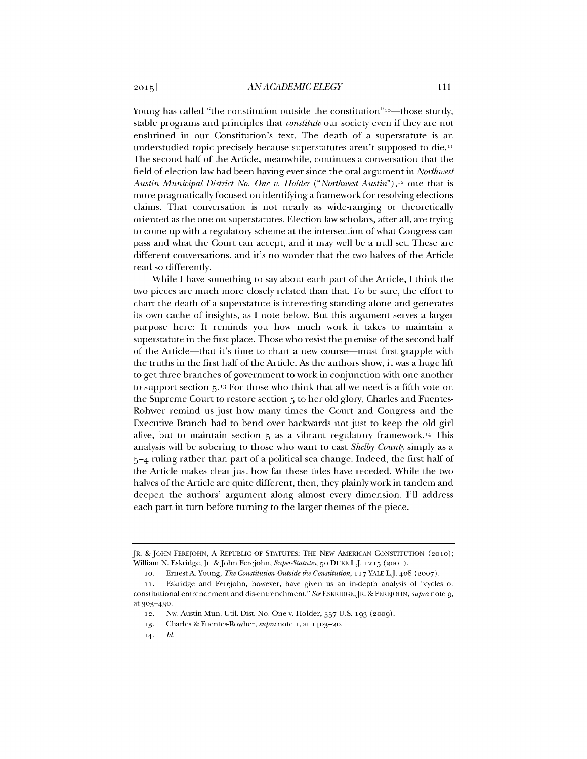Young has called "the constitution outside the constitution" $\omega$ -those sturdy, stable programs and principles that *constitute* our society even if they are not enshrined in our Constitution's text. The death of a superstatute is an understudied topic precisely because superstatutes aren't supposed to die.<sup>11</sup> The second half of the Article, meanwhile, continues a conversation that the field of election law had been having ever since the oral argument in *Northwest Austin Municipal District No. One v. Holder* ("*Northwest Austin*"),<sup>12</sup> one that is more pragmatically focused on identifying a framework for resolving elections claims. That conversation is not nearly as wide-ranging or theoretically oriented as the one on superstatutes. Election law scholars, after all, are trying to come up with a regulatory scheme at the intersection of what Congress can pass and what the Court can accept, and it may well be a null set. These are different conversations, and it's no wonder that the two halves of the Article read so differently.

While **I** have something to say about each part of the Article, **I** think the two pieces are much more closely related than that. To be sure, the effort to chart the death of a superstatute is interesting standing alone and generates its own cache of insights, as **I** note below. But this argument serves a larger purpose here: It reminds you how much work it takes to maintain a superstatute in the first place. Those who resist the premise of the second half of the Article-that it's time to chart a new course-must first grapple with the truths in the first half of the Article. As the authors show, it was a huge lift to get three branches of government to work in conjunction with one another to support section **5.13** For those who think that all we need is a fifth vote on the Supreme Court to restore section **5** to her old glory, Charles and Fuentes-Rohwer remind us just how many times the Court and Congress and the Executive Branch had to bend over backwards not just to keep the old girl alive, but to maintain section **5** as a vibrant regulatory framework.14 This analysis will be sobering to those who want to cast *Shelby County* simply as a 5-4 ruling rather than part of a political sea change. Indeed, the first half of the Article makes clear just how far these tides have receded. While the two halves of the Article are quite different, then, they plainly work in tandem and deepen the authors' argument along almost every dimension. **I'll** address each part in turn before turning to the larger themes of the piece.

JR. *&* **JOHN** FEREJOHN, **A** REPUBLIC OF **STATUTES:** THE NEW **AMERICAN CONSTITUTION (2010);** William **N.** Eskridge,Jr. &John Ferejohn, *Super-Statutes,* **50** DUKE L.J. **1215 (2001).**

**<sup>10.</sup>** Ernest **A.** Young, *The Constitution Outside the Constitution,* **<sup>11</sup> <sup>7</sup> YALE L.J** 408 **(2007).**

**<sup>11.</sup> Eskridge and Ferejohn, however, have given us an in-depth analysis of "cycles of** constitutional entrenchment and dis-entrenchment." *See* **ESKRIDGE,JR.** *&* FEREJOHN, *supra* note **9,** at 303-430.

**<sup>12.</sup>** Nw. Austin Mun. Util. Dist. No. One v. Holder, **557 U.S. 193 (2009).**

**<sup>13.</sup>** Charles *&* Fuentes-Rowher, *supra* note **i,** at **1403-20.**

**<sup>14.</sup>** *Id.*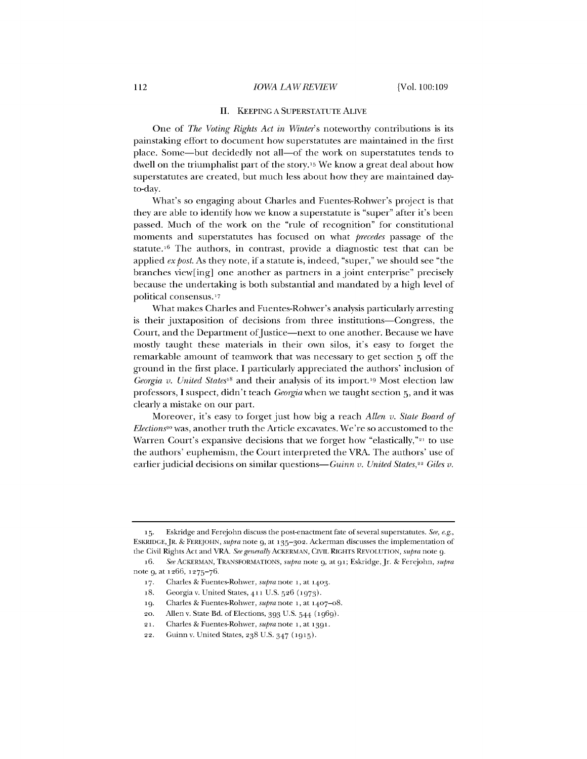#### **II. KEEPING A** SUPERSTATUTE **ALIVE**

One of *The Voting Rights Act in Winter's* noteworthy contributions is its painstaking effort to document how superstatutes are maintained in the first place. Some-but decidedly not all-of the work on superstatutes tends to dwell on the triumphalist part of the story. <sup>1</sup> 5 We know a great deal about how superstatutes are created, but much less about how they are maintained dayto-day.

What's so engaging about Charles and Fuentes-Rohwer's project is that they are able to identify how we know a superstatute is "super" after it's been passed. Much of the work on the "rule of recognition" for constitutional moments and superstatutes has focused on what *precedes* passage of the statute.<sup>16</sup> The authors, in contrast, provide a diagnostic test that can be applied *ex post*. As they note, if a statute is, indeed, "super," we should see "the branches view[ing] one another as partners in a joint enterprise" precisely because the undertaking is both substantial and mandated **by** a high level of political consensus.<sup>1</sup> 7

What makes Charles and Fuentes-Rohwer's analysis particularly arresting is their juxtaposition of decisions from three institutions-Congress, the Court, and the Department of Justice-next to one another. Because we have mostly taught these materials in their own silos, it's easy to forget the remarkable amount of teamwork that was necessary to get section **5** off the ground in the first place. **I** particularly appreciated the authors' inclusion of *Georgia v. United States<sup>18</sup>* and their analysis of its import.<sup>19</sup> Most election law professors, **I** suspect, didn't teach *Georgia* when we taught section **5,** and it was clearly a mistake on our part.

Moreover, it's easy to forget just how big a reach *Allen v. State Board of Elections<sup>20</sup>* was, another truth the Article excavates. We're so accustomed to the Warren Court's expansive decisions that we forget how "elastically," $21$  to use the authors' euphemism, the Court interpreted the VRA. The authors' use of earlier judicial decisions on similar questions-Guinn *v*. United States,<sup>22</sup> Giles *v*.

**<sup>15.</sup>** Eskridge and Ferejohn discuss the post-enactment fate of several superstatutes. *See, e.g.,* ESKRIDGE,JR. **&** FEREJOHN, supra note **9,** at **135-302.** Ackerman discusses the implementation of the Civil Rights Act and VRA. *See generally* ACKERMAN, **CIVIL** RIGHTS **REVOLUTION,** supra note **9.**

<sup>16.</sup> *See* ACKERMAN, TRANSFORMATIONS, supra note **9,** at **91;** Eskridge, Jr. **&** Ferejohn, supra note **9,** at 1266, **1275-76.**

**<sup>17.</sup>** Charles **&** Fuentes-Rohwer, supra note **i,** at **1403.**

<sup>18.</sup> Georgia v. United States, **411 U.S. 526 (1973).**

**<sup>19.</sup>** Charles **&** Fuentes-Rohwer, supra note **i,** at 1407-o8.

**<sup>20.</sup>** Allen v. State Bd. of Elections, **393 U.S.** 544 **(1969).**

**<sup>21.</sup>** Charles **&** Fuentes-Rohwer, supra note **i,** at **1391.**

<sup>22.</sup> Guinn v. United States, **238 U.S.** 347 **(1915).**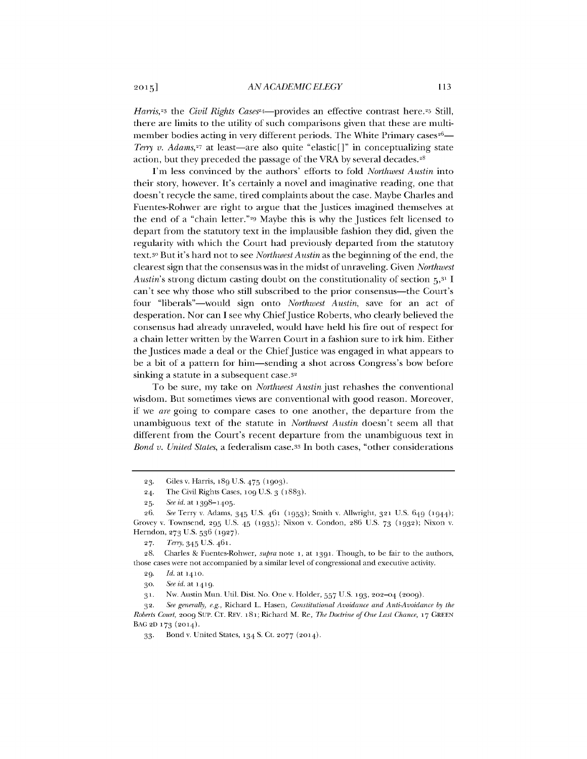*Harris*,<sup>23</sup> the *Civil Rights Cases*<sup>24</sup>—provides an effective contrast here.<sup>25</sup> Still, there are limits to the utility of such comparisons given that these are multimember bodies acting in very different periods. The White Primary cases<sup>26</sup>— *Terry v. Adams,<sup>27</sup>* at least—are also quite "elastic[]" in conceptualizing state action, but they preceded the passage of the VRA by several decades.<sup>28</sup>

I'm less convinced **by** the authors' efforts to fold *Northwest Austin* into their story, however. It's certainly a novel and imaginative reading, one that doesn't recycle the same, tired complaints about the case. Maybe Charles and Fuentes-Rohwer are right to argue that the Justices imagined themselves at the end of a "chain letter."29 Maybe this is why the Justices felt licensed to depart from the statutory text in the implausible fashion they did, given the regularity with which the Court had previously departed from the statutory text.3o But it's hard not to see *Northwest Austin* as the beginning of the end, the clearest sign that the consensus was in the midst of unraveling. Given *Northwest Austin's* strong dictum casting doubt on the constitutionality of section **5,31** I can't see why those who still subscribed to the prior consensus-the Court's four "liberals"-would sign onto *Northwest Austin,* save for an act of desperation. Nor can I see why Chief Justice Roberts, who clearly believed the consensus had already unraveled, would have held his fire out of respect for a chain letter written **by** the Warren Court in a fashion sure to irk him. Either the Justices made a deal or the Chief Justice was engaged in what appears to be a bit of a pattern for him-sending a shot across Congress's bow before sinking a statute in a subsequent case.<sup>32</sup>

To be sure, my take on *Northwest Austin* just rehashes the conventional wisdom. But sometimes views are conventional with good reason. Moreover, if we *are* going to compare cases to one another, the departure from the unambiguous text of the statute in *Northwest Austin* doesn't seem all that different from the Court's recent departure from the unambiguous text in *Bond v. United States,* a federalism case.33 In both cases, "other considerations

**<sup>23.</sup>** Giles v. Harris, 189 **U.S.** *475* **(1903).**

**<sup>24.</sup>** The Civil Rights Cases, **1o9 U.S. 3** (1883).

**<sup>25.</sup>** *See id.* at **1398-1405.**

<sup>26.</sup> *See* Terry v. Adams, 345 **U.S. 461 (1953);** Smith v. Allwright, **321 U.S.** 649 **(1944);** Grovey v. Townsend, **295 U.S.** 45 **(1935);** Nixon v. Condon, **286 U.S. 73 (1932);** Nixon v. Herndon, **273 U.S. 536 (1927).**

**<sup>27.</sup>** Terry, 345 **U.S-** 461.

**<sup>28.</sup>** Charles *&* Fuentes-Rohwer, *supra* note **i, at 1391.** Though, to be fair to the authors, those cases were not accompanied **by** a similar level of congressional and executive activity.

**<sup>29.</sup>** *Id.* at **1410.**

**<sup>3</sup>o.** *See id.* at 1 <sup>4</sup> 19.

**<sup>31.</sup>** Nw. Austin Mun. Util. Dist. No. One v. Holder, **557 U.S. 193, 202-04 (2009).**

**<sup>32.</sup>** *See generally, e.g.,* Richard L. Hasen, *Constitutional Avoidance and Anti-Avoidance by the Roberts Court,* **2009 SUP. CT.** REV. 181; Richard M. Re, *The Doctrine of One Last Chance,* **17 GREEN BAG 2D 173 (2014).**

**<sup>33.</sup>** Bond v. United States, **134 S.** Ct. **2077 (2014).**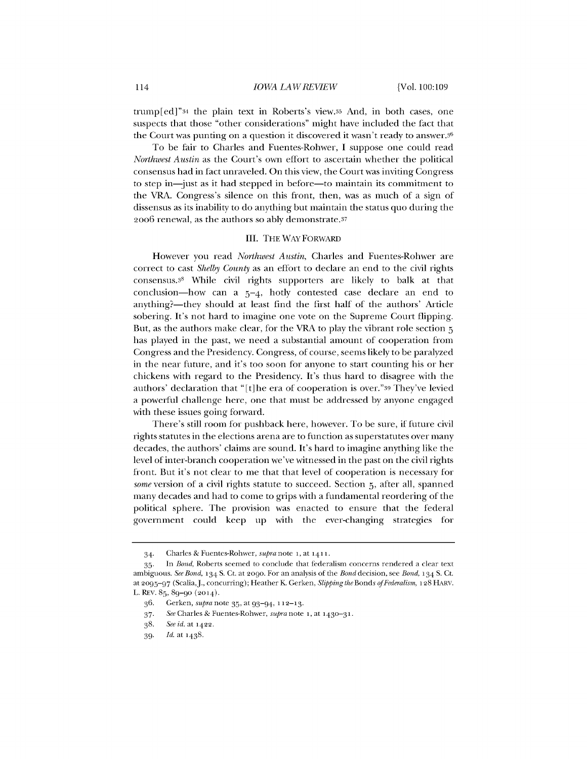trump[ed]"34 the plain text in Roberts's view.3s And, in both cases, one suspects that those "other considerations" might have included the fact that the Court was punting on a question it discovered it wasn't ready to answer. $3<sup>6</sup>$ 

To be fair to Charles and Fuentes-Rohwer, **I** suppose one could read *Northwest Austin* as the Court's own effort to ascertain whether the political consensus had in fact unraveled. On this view, the Court was inviting Congress to step in—just as it had stepped in before—to maintain its commitment to the VRA. Congress's silence on this front, then, was as much of a sign of dissensus as its inability to do anything but maintain the status quo during the 2oo6 renewal, as the authors so ably demonstrate.37

### III. THE WAYFORWARD

However you read *Northwest Austin,* Charles and Fuentes-Rohwer are correct to cast *Shelby County* as an effort to declare an end to the civil rights consensus.3<sup>8</sup>While civil rights supporters are likely to balk at that conclusion-how can a  $5-4$ , hotly contested case declare an end to anything?—they should at least find the first half of the authors' Article sobering. It's not hard to imagine one vote on the Supreme Court flipping. But, as the authors make clear, for the VRA to play the vibrant role section **<sup>5</sup>** has played in the past, we need a substantial amount of cooperation from Congress and the Presidency. Congress, of course, seems likely to be paralyzed in the near future, and it's too soon for anyone to start counting his or her chickens with regard to the Presidency. It's thus hard to disagree with the authors' declaration that "[t]he era of cooperation is over."39 They've levied a powerful challenge here, one that must be addressed **by** anyone engaged with these issues going forward.

There's still room for pushback here, however. To be sure, if future civil rights statutes in the elections arena are to function as superstatutes over many decades, the authors' claims are sound. It's hard to imagine anything like the level of inter-branch cooperation we've witnessed in the past on the civil rights front. But it's not clear to me that that level of cooperation is necessary for some version of a civil rights statute to succeed. Section **5,** after all, spanned many decades and had to come to grips with a fundamental reordering of the political sphere. The provision was enacted to ensure that the federal government could keep up with the ever-changing strategies for

<sup>34.</sup> Charles **&** Fuentes-Rohwer, supra note **i,** at **1411.**

**<sup>35.</sup>** In *Bond,* Roberts seemed to conclude that federalism concerns rendered a clear text ambiguous. *See Bond,* **134 S.** Ct. at **2o90.** For an analysis of the Bond decision, see *Bond,* **134 S.** Ct. at **2095-97** (Scalia,J., concurring); Heather K Gerken, *Slipping the Bonds ofFederalism,* **128** HARV. L. REV. **85,** 89-go (2014).

**<sup>36.</sup>** Gerken, supra note **35,** at 93-94, **112-13.**

**<sup>37.</sup>** *See* Charles **&** Fuentes-Rohwer, supra note **i,** at **1430-31.**

**<sup>38.</sup>** *See id. at 1 <sup>4</sup> 22.*

**<sup>39.</sup>** *Id.* at 1438.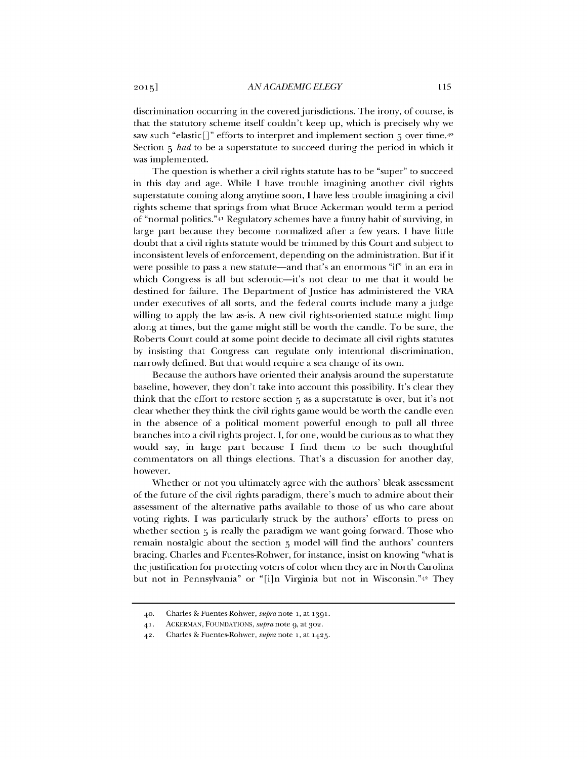discrimination occurring in the covered jurisdictions. The irony, of course, is that the statutory scheme itself couldn't keep up, which is precisely why we saw such "elastic[]" efforts to interpret and implement section **5** over time.4<sup>0</sup> Section **5** *had* to be a superstatute to succeed during the period in which it was implemented.

The question is whether a civil rights statute has to be "super" to succeed in this day and age. While **I** have trouble imagining another civil rights superstatute coming along anytime soon, **I** have less trouble imagining a civil rights scheme that springs from what Bruce Ackerman would term a period of "normal politics." $4<sup>1</sup>$  Regulatory schemes have a funny habit of surviving, in large part because they become normalized after a few years. **I** have little doubt that a civil rights statute would be trimmed **by** this Court and subject to inconsistent levels of enforcement, depending on the administration. But if it were possible to pass a new statute-and that's an enormous *"if'* in an era in which Congress is all but sclerotic-it's not clear to me that it would be destined for failure. The Department of Justice has administered the VRA under executives of all sorts, and the federal courts include many a judge willing to apply the law as-is. **A** new civil rights-oriented statute might limp along at times, but the game might still be worth the candle. To be sure, the Roberts Court could at some point decide to decimate all civil rights statutes **by** insisting that Congress can regulate only intentional discrimination, narrowly defined. But that would require a sea change of its own.

Because the authors have oriented their analysis around the superstatute baseline, however, they don't take into account this possibility. It's clear they think that the effort to restore section **5** as a superstatute is over, but it's not clear whether they think the civil rights game would be worth the candle even in the absence of a political moment powerful enough to pull all three branches into a civil rights project. **I,** for one, would be curious as to what they would say, in large part because **I** find them to be such thoughtful commentators on all things elections. That's a discussion for another day, however.

Whether or not you ultimately agree with the authors' bleak assessment of the future of the civil rights paradigm, there's much to admire about their assessment of the alternative paths available to those of us who care about voting rights. **I** was particularly struck **by** the authors' efforts to press on whether section **5** is really the paradigm we want going forward. Those who remain nostalgic about the section **5** model will find the authors' counters bracing. Charles and Fuentes-Rohwer, for instance, insist on knowing "what is the justification for protecting voters of color when they are in North Carolina but not in Pennsylvania" or "[i]n Virginia but not in Wisconsin."42 They

<sup>40.</sup> Charles **&** Fuentes-Rohwer, supra note i, at 1391.

<sup>41.</sup> ACKERMAN, **FOUNDATIONS,** supra note **9,** at 3o2.

<sup>42.</sup> Charles **&** Fuentes-Rohwer, supra note i, at 1425.